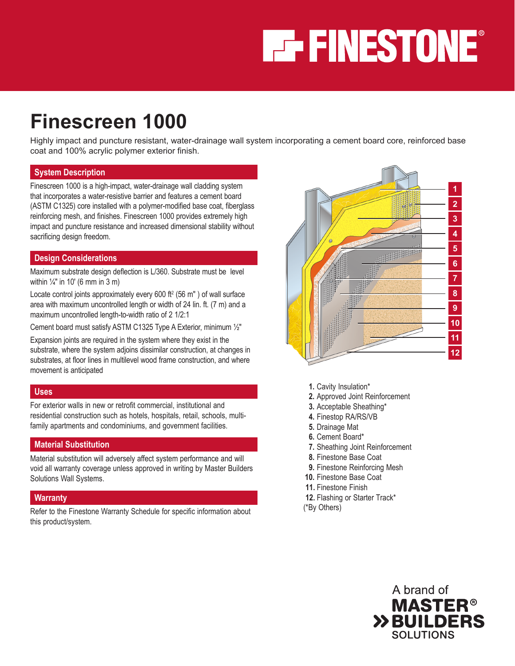# **FF-FINESTONE®**

## **Finescreen 1000**

Highly impact and puncture resistant, water-drainage wall system incorporating a cement board core, reinforced base coat and 100% acrylic polymer exterior finish.

#### **System Description**

Finescreen 1000 is a high-impact, water-drainage wall cladding system that incorporates a water-resistive barrier and features a cement board (ASTM C1325) core installed with a polymer-modified base coat, fiberglass reinforcing mesh, and finishes. Finescreen 1000 provides extremely high impact and puncture resistance and increased dimensional stability without sacrificing design freedom.

#### **Design Considerations**

Maximum substrate design deflection is L/360. Substrate must be level within  $\frac{1}{4}$ " in 10' (6 mm in 3 m)

Locate control joints approximately every 600 ft<sup>2</sup> (56 m") of wall surface area with maximum uncontrolled length or width of 24 lin. ft. (7 m) and a maximum uncontrolled length-to-width ratio of 2 1/2:1

Cement board must satisfy ASTM C1325 Type A Exterior, minimum ½"

Expansion joints are required in the system where they exist in the substrate, where the system adjoins dissimilar construction, at changes in substrates, at floor lines in multilevel wood frame construction, and where movement is anticipated

#### **Uses**

For exterior walls in new or retrofit commercial, institutional and residential construction such as hotels, hospitals, retail, schools, multifamily apartments and condominiums, and government facilities.

#### **Material Substitution**

Material substitution will adversely affect system performance and will void all warranty coverage unless approved in writing by Master Builders Solutions Wall Systems.

#### **Warranty**

Refer to the Finestone Warranty Schedule for specific information about this product/system.



- **1.** Cavity Insulation\*
- **2.** Approved Joint Reinforcement
- **3.** Acceptable Sheathing\*
- **4.** Finestop RA/RS/VB
- **5.** Drainage Mat
- **6.** Cement Board\*
- **7.** Sheathing Joint Reinforcement
- **8.** Finestone Base Coat
- **9.** Finestone Reinforcing Mesh
- **10.** Finestone Base Coat
- **11.** Finestone Finish
- **12.** Flashing or Starter Track\*
- (\*By Others)

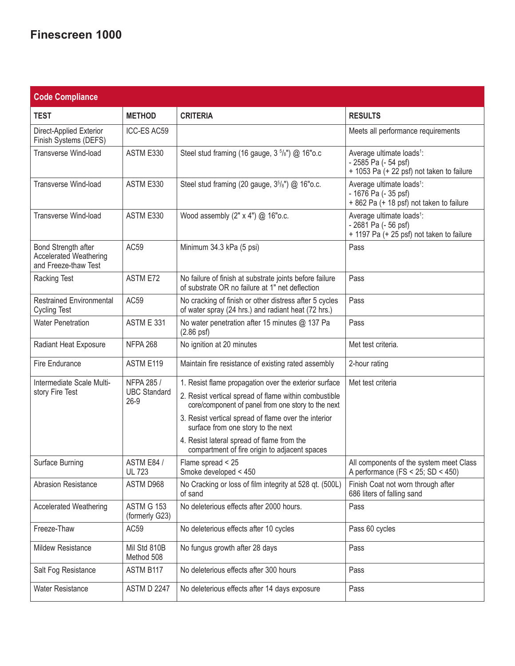### **Finescreen 1000**

| <b>Code Compliance</b>                                                       |                                             |                                                                                                                                                                                                                                                                                                                  |                                                                                                            |
|------------------------------------------------------------------------------|---------------------------------------------|------------------------------------------------------------------------------------------------------------------------------------------------------------------------------------------------------------------------------------------------------------------------------------------------------------------|------------------------------------------------------------------------------------------------------------|
| <b>TEST</b>                                                                  | <b>METHOD</b>                               | <b>CRITERIA</b>                                                                                                                                                                                                                                                                                                  | <b>RESULTS</b>                                                                                             |
| Direct-Applied Exterior<br>Finish Systems (DEFS)                             | ICC-ES AC59                                 |                                                                                                                                                                                                                                                                                                                  | Meets all performance requirements                                                                         |
| Transverse Wind-load                                                         | ASTM E330                                   | Steel stud framing (16 gauge, 3 <sup>5</sup> /8") @ 16"o.c                                                                                                                                                                                                                                                       | Average ultimate loads <sup>1</sup> :<br>- 2585 Pa (- 54 psf)<br>+ 1053 Pa (+ 22 psf) not taken to failure |
| Transverse Wind-load                                                         | ASTM E330                                   | Steel stud framing (20 gauge, 3 <sup>5</sup> /s") @ 16"o.c.                                                                                                                                                                                                                                                      | Average ultimate loads <sup>1</sup> :<br>- 1676 Pa (- 35 psf)<br>+ 862 Pa (+ 18 psf) not taken to failure  |
| Transverse Wind-load                                                         | ASTM E330                                   | Wood assembly (2" x 4") @ 16"o.c.                                                                                                                                                                                                                                                                                | Average ultimate loads <sup>1</sup> :<br>- 2681 Pa (- 56 psf)<br>+ 1197 Pa (+ 25 psf) not taken to failure |
| Bond Strength after<br><b>Accelerated Weathering</b><br>and Freeze-thaw Test | AC59                                        | Minimum 34.3 kPa (5 psi)                                                                                                                                                                                                                                                                                         | Pass                                                                                                       |
| Racking Test                                                                 | ASTM E72                                    | No failure of finish at substrate joints before failure<br>of substrate OR no failure at 1" net deflection                                                                                                                                                                                                       | Pass                                                                                                       |
| <b>Restrained Environmental</b><br><b>Cycling Test</b>                       | AC59                                        | No cracking of finish or other distress after 5 cycles<br>of water spray (24 hrs.) and radiant heat (72 hrs.)                                                                                                                                                                                                    | Pass                                                                                                       |
| <b>Water Penetration</b>                                                     | ASTM E 331                                  | No water penetration after 15 minutes @ 137 Pa<br>$(2.86$ psf)                                                                                                                                                                                                                                                   | Pass                                                                                                       |
| Radiant Heat Exposure                                                        | NFPA 268                                    | No ignition at 20 minutes                                                                                                                                                                                                                                                                                        | Met test criteria.                                                                                         |
| Fire Endurance                                                               | ASTM E119                                   | Maintain fire resistance of existing rated assembly                                                                                                                                                                                                                                                              | 2-hour rating                                                                                              |
| Intermediate Scale Multi-<br>story Fire Test                                 | NFPA 285 /<br><b>UBC Standard</b><br>$26-9$ | 1. Resist flame propagation over the exterior surface<br>2. Resist vertical spread of flame within combustible<br>core/component of panel from one story to the next<br>3. Resist vertical spread of flame over the interior<br>surface from one story to the next<br>4. Resist lateral spread of flame from the | Met test criteria                                                                                          |
| Surface Burning                                                              | ASTM E84 /                                  | compartment of fire origin to adjacent spaces<br>Flame spread < 25                                                                                                                                                                                                                                               | All components of the system meet Class                                                                    |
|                                                                              | <b>UL 723</b>                               | Smoke developed < 450                                                                                                                                                                                                                                                                                            | A performance $(FS < 25; SD < 450)$                                                                        |
| <b>Abrasion Resistance</b>                                                   | ASTM D968                                   | No Cracking or loss of film integrity at 528 qt. (500L)<br>of sand                                                                                                                                                                                                                                               | Finish Coat not worn through after<br>686 liters of falling sand                                           |
| <b>Accelerated Weathering</b>                                                | ASTM G 153<br>(formerly G23)                | No deleterious effects after 2000 hours.                                                                                                                                                                                                                                                                         | Pass                                                                                                       |
| Freeze-Thaw                                                                  | AC59                                        | No deleterious effects after 10 cycles                                                                                                                                                                                                                                                                           | Pass 60 cycles                                                                                             |
| Mildew Resistance                                                            | Mil Std 810B<br>Method 508                  | No fungus growth after 28 days                                                                                                                                                                                                                                                                                   | Pass                                                                                                       |
| Salt Fog Resistance                                                          | ASTM B117                                   | No deleterious effects after 300 hours                                                                                                                                                                                                                                                                           | Pass                                                                                                       |
| Water Resistance                                                             | <b>ASTM D 2247</b>                          | No deleterious effects after 14 days exposure                                                                                                                                                                                                                                                                    | Pass                                                                                                       |